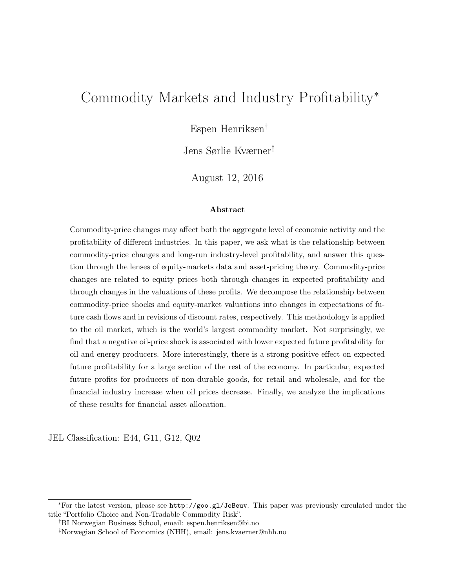# <span id="page-0-0"></span>Commodity Markets and Industry Profitability<sup>∗</sup>

Espen Henriksen†

Jens Sørlie Kværner‡

August 12, 2016

#### Abstract

Commodity-price changes may affect both the aggregate level of economic activity and the profitability of different industries. In this paper, we ask what is the relationship between commodity-price changes and long-run industry-level profitability, and answer this question through the lenses of equity-markets data and asset-pricing theory. Commodity-price changes are related to equity prices both through changes in expected profitability and through changes in the valuations of these profits. We decompose the relationship between commodity-price shocks and equity-market valuations into changes in expectations of future cash flows and in revisions of discount rates, respectively. This methodology is applied to the oil market, which is the world's largest commodity market. Not surprisingly, we find that a negative oil-price shock is associated with lower expected future profitability for oil and energy producers. More interestingly, there is a strong positive effect on expected future profitability for a large section of the rest of the economy. In particular, expected future profits for producers of non-durable goods, for retail and wholesale, and for the financial industry increase when oil prices decrease. Finally, we analyze the implications of these results for financial asset allocation.

JEL Classification: E44, G11, G12, Q02

<sup>∗</sup>For the latest version, please see <http://goo.gl/JeBeuv>. This paper was previously circulated under the title "Portfolio Choice and Non-Tradable Commodity Risk".

<sup>†</sup>BI Norwegian Business School, email: espen.henriksen@bi.no

<sup>‡</sup>Norwegian School of Economics (NHH), email: jens.kvaerner@nhh.no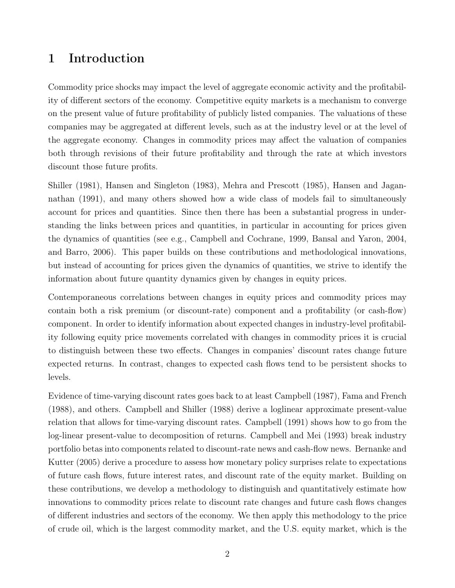## 1 Introduction

Commodity price shocks may impact the level of aggregate economic activity and the profitability of different sectors of the economy. Competitive equity markets is a mechanism to converge on the present value of future profitability of publicly listed companies. The valuations of these companies may be aggregated at different levels, such as at the industry level or at the level of the aggregate economy. Changes in commodity prices may affect the valuation of companies both through revisions of their future profitability and through the rate at which investors discount those future profits.

[Shiller](#page-20-0) [\(1981\)](#page-20-0), [Hansen and Singleton](#page-20-1) [\(1983\)](#page-20-1), [Mehra and Prescott](#page-20-2) [\(1985\)](#page-20-2), [Hansen and Jagan](#page-19-0)[nathan](#page-19-0) [\(1991\)](#page-19-0), and many others showed how a wide class of models fail to simultaneously account for prices and quantities. Since then there has been a substantial progress in understanding the links between prices and quantities, in particular in accounting for prices given the dynamics of quantities (see e.g., [Campbell and Cochrane, 1999,](#page-19-1) [Bansal and Yaron, 2004,](#page-18-0) and [Barro, 2006\)](#page-18-1). This paper builds on these contributions and methodological innovations, but instead of accounting for prices given the dynamics of quantities, we strive to identify the information about future quantity dynamics given by changes in equity prices.

Contemporaneous correlations between changes in equity prices and commodity prices may contain both a risk premium (or discount-rate) component and a profitability (or cash-flow) component. In order to identify information about expected changes in industry-level profitability following equity price movements correlated with changes in commodity prices it is crucial to distinguish between these two effects. Changes in companies' discount rates change future expected returns. In contrast, changes to expected cash flows tend to be persistent shocks to levels.

Evidence of time-varying discount rates goes back to at least [Campbell](#page-18-2) [\(1987\)](#page-18-2), [Fama and French](#page-19-2) [\(1988\)](#page-19-2), and others. [Campbell and Shiller](#page-19-3) [\(1988\)](#page-19-3) derive a loglinear approximate present-value relation that allows for time-varying discount rates. [Campbell](#page-18-3) [\(1991\)](#page-18-3) shows how to go from the log-linear present-value to decomposition of returns. [Campbell and Mei](#page-19-4) [\(1993\)](#page-19-4) break industry portfolio betas into components related to discount-rate news and cash-flow news. [Bernanke and](#page-18-4) [Kutter](#page-18-4) [\(2005\)](#page-18-4) derive a procedure to assess how monetary policy surprises relate to expectations of future cash flows, future interest rates, and discount rate of the equity market. Building on these contributions, we develop a methodology to distinguish and quantitatively estimate how innovations to commodity prices relate to discount rate changes and future cash flows changes of different industries and sectors of the economy. We then apply this methodology to the price of crude oil, which is the largest commodity market, and the U.S. equity market, which is the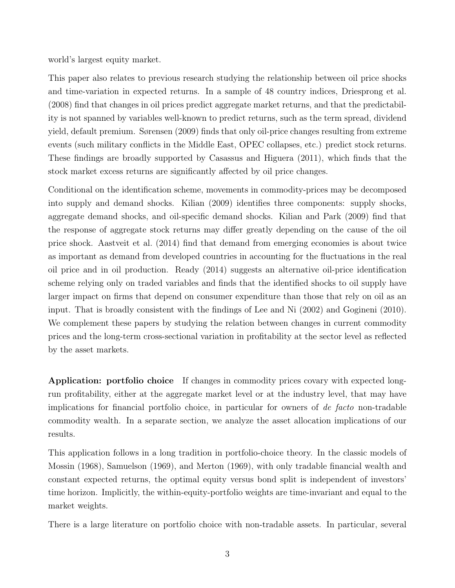world's largest equity market.

This paper also relates to previous research studying the relationship between oil price shocks and time-variation in expected returns. In a sample of 48 country indices, [Driesprong et al.](#page-19-5) [\(2008\)](#page-19-5) find that changes in oil prices predict aggregate market returns, and that the predictability is not spanned by variables well-known to predict returns, such as the term spread, dividend yield, default premium. [Sørensen](#page-20-3) [\(2009\)](#page-20-3) finds that only oil-price changes resulting from extreme events (such military conflicts in the Middle East, OPEC collapses, etc.) predict stock returns. These findings are broadly supported by [Casassus and Higuera](#page-19-6) [\(2011\)](#page-19-6), which finds that the stock market excess returns are significantly affected by oil price changes.

Conditional on the identification scheme, movements in commodity-prices may be decomposed into supply and demand shocks. [Kilian](#page-20-4) [\(2009\)](#page-20-4) identifies three components: supply shocks, aggregate demand shocks, and oil-specific demand shocks. [Kilian and Park](#page-20-5) [\(2009\)](#page-20-5) find that the response of aggregate stock returns may differ greatly depending on the cause of the oil price shock. [Aastveit et al.](#page-18-5) [\(2014\)](#page-18-5) find that demand from emerging economies is about twice as important as demand from developed countries in accounting for the fluctuations in the real oil price and in oil production. [Ready](#page-20-6) [\(2014\)](#page-20-6) suggests an alternative oil-price identification scheme relying only on traded variables and finds that the identified shocks to oil supply have larger impact on firms that depend on consumer expenditure than those that rely on oil as an input. That is broadly consistent with the findings of [Lee and Ni](#page-20-7) [\(2002\)](#page-20-7) and [Gogineni](#page-19-7) [\(2010\)](#page-19-7). We complement these papers by studying the relation between changes in current commodity prices and the long-term cross-sectional variation in profitability at the sector level as reflected by the asset markets.

Application: portfolio choice If changes in commodity prices covary with expected longrun profitability, either at the aggregate market level or at the industry level, that may have implications for financial portfolio choice, in particular for owners of de facto non-tradable commodity wealth. In a separate section, we analyze the asset allocation implications of our results.

This application follows in a long tradition in portfolio-choice theory. In the classic models of [Mossin](#page-20-8) [\(1968\)](#page-20-8), [Samuelson](#page-20-9) [\(1969\)](#page-20-9), and [Merton](#page-20-10) [\(1969\)](#page-20-10), with only tradable financial wealth and constant expected returns, the optimal equity versus bond split is independent of investors' time horizon. Implicitly, the within-equity-portfolio weights are time-invariant and equal to the market weights.

There is a large literature on portfolio choice with non-tradable assets. In particular, several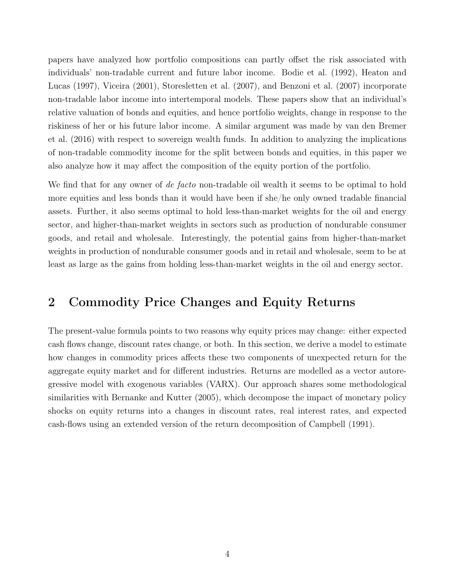papers have analyzed how portfolio compositions can partly offset the risk associated with individuals' non-tradable current and future labor income. [Bodie et al.](#page-18-6) [\(1992\)](#page-18-6), [Heaton and](#page-20-11) [Lucas](#page-20-11) [\(1997\)](#page-20-11), [Viceira](#page-21-0) [\(2001\)](#page-21-0), [Storesletten et al.](#page-20-12) [\(2007\)](#page-20-12), and [Benzoni et al.](#page-18-7) [\(2007\)](#page-18-7) incorporate non-tradable labor income into intertemporal models. These papers show that an individual's relative valuation of bonds and equities, and hence portfolio weights, change in response to the riskiness of her or his future labor income. A similar argument was made by [van den Bremer](#page-21-1) [et al.](#page-21-1) [\(2016\)](#page-21-1) with respect to sovereign wealth funds. In addition to analyzing the implications of non-tradable commodity income for the split between bonds and equities, in this paper we also analyze how it may affect the composition of the equity portion of the portfolio.

We find that for any owner of de facto non-tradable oil wealth it seems to be optimal to hold more equities and less bonds than it would have been if she/he only owned tradable financial assets. Further, it also seems optimal to hold less-than-market weights for the oil and energy sector, and higher-than-market weights in sectors such as production of nondurable consumer goods, and retail and wholesale. Interestingly, the potential gains from higher-than-market weights in production of nondurable consumer goods and in retail and wholesale, seem to be at least as large as the gains from holding less-than-market weights in the oil and energy sector.

## 2 Commodity Price Changes and Equity Returns

The present-value formula points to two reasons why equity prices may change: either expected cash flows change, discount rates change, or both. In this section, we derive a model to estimate how changes in commodity prices affects these two components of unexpected return for the aggregate equity market and for different industries. Returns are modelled as a vector autoregressive model with exogenous variables (VARX). Our approach shares some methodological similarities with [Bernanke and Kutter](#page-18-4) [\(2005\)](#page-18-4), which decompose the impact of monetary policy shocks on equity returns into a changes in discount rates, real interest rates, and expected cash-flows using an extended version of the return decomposition of [Campbell](#page-18-3) [\(1991\)](#page-18-3).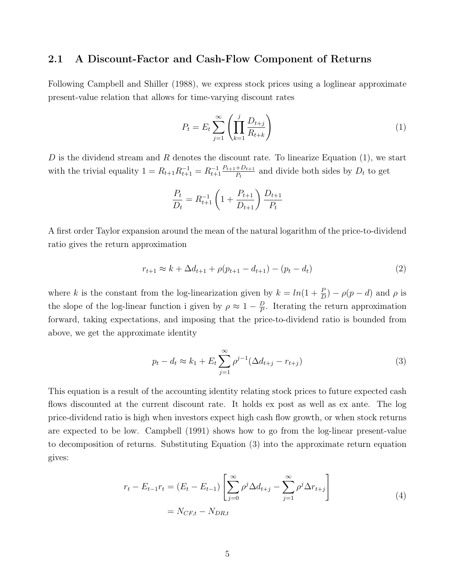### 2.1 A Discount-Factor and Cash-Flow Component of Returns

Following [Campbell and Shiller](#page-19-3) [\(1988\)](#page-19-3), we express stock prices using a loglinear approximate present-value relation that allows for time-varying discount rates

<span id="page-4-0"></span>
$$
P_t = E_t \sum_{j=1}^{\infty} \left( \prod_{k=1}^j \frac{D_{t+j}}{R_{t+k}} \right) \tag{1}
$$

D is the dividend stream and R denotes the discount rate. To linearize Equation  $(1)$ , we start with the trivial equality  $1 = R_{t+1}R_{t+1}^{-1} = R_{t+1}^{-1} \frac{P_{t+1} + D_{t+1}}{P_t}$  $\frac{+D_{t+1}}{P_t}$  and divide both sides by  $D_t$  to get

$$
\frac{P_t}{D_t} = R_{t+1}^{-1} \left( 1 + \frac{P_{t+1}}{D_{t+1}} \right) \frac{D_{t+1}}{P_t}
$$

A first order Taylor expansion around the mean of the natural logarithm of the price-to-dividend ratio gives the return approximation

$$
r_{t+1} \approx k + \Delta d_{t+1} + \rho(p_{t+1} - d_{t+1}) - (p_t - d_t)
$$
\n(2)

where k is the constant from the log-linearization given by  $k = ln(1 + \frac{P}{D}) - \rho(p - d)$  and  $\rho$  is the slope of the log-linear function i given by  $\rho \approx 1 - \frac{D}{P}$  $\frac{D}{P}$ . Iterating the return approximation forward, taking expectations, and imposing that the price-to-dividend ratio is bounded from above, we get the approximate identity

<span id="page-4-1"></span>
$$
p_t - d_t \approx k_1 + E_t \sum_{j=1}^{\infty} \rho^{j-1} (\Delta d_{t+j} - r_{t+j})
$$
\n(3)

This equation is a result of the accounting identity relating stock prices to future expected cash flows discounted at the current discount rate. It holds ex post as well as ex ante. The log price-dividend ratio is high when investors expect high cash flow growth, or when stock returns are expected to be low. [Campbell](#page-18-3) [\(1991\)](#page-18-3) shows how to go from the log-linear present-value to decomposition of returns. Substituting Equation [\(3\)](#page-4-1) into the approximate return equation gives:

<span id="page-4-2"></span>
$$
r_{t} - E_{t-1}r_{t} = (E_{t} - E_{t-1}) \left[ \sum_{j=0}^{\infty} \rho^{j} \Delta d_{t+j} - \sum_{j=1}^{\infty} \rho^{j} \Delta r_{t+j} \right]
$$
  
=  $N_{CF,t} - N_{DR,t}$  (4)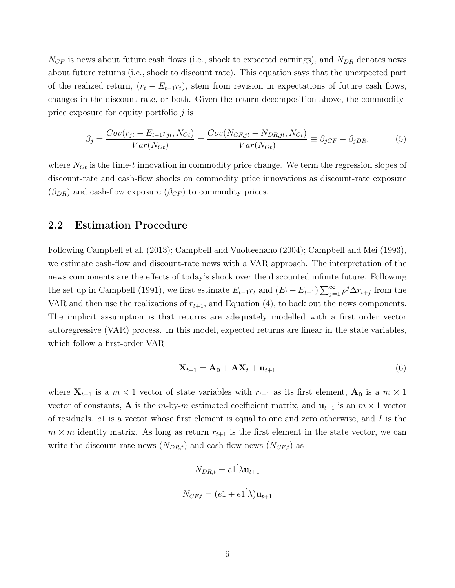$N_{CF}$  is news about future cash flows (i.e., shock to expected earnings), and  $N_{DR}$  denotes news about future returns (i.e., shock to discount rate). This equation says that the unexpected part of the realized return,  $(r_t - E_{t-1}r_t)$ , stem from revision in expectations of future cash flows, changes in the discount rate, or both. Given the return decomposition above, the commodityprice exposure for equity portfolio  $j$  is

<span id="page-5-0"></span>
$$
\beta_j = \frac{Cov(r_{jt} - E_{t-1}r_{jt}, N_{ot})}{Var(N_{ot})} = \frac{Cov(N_{CF,jt} - N_{DR,jt}, N_{ot})}{Var(N_{ot})} \equiv \beta_{jCF} - \beta_{jDR},\tag{5}
$$

where  $N_{Ot}$  is the time-t innovation in commodity price change. We term the regression slopes of discount-rate and cash-flow shocks on commodity price innovations as discount-rate exposure  $(\beta_{DR})$  and cash-flow exposure  $(\beta_{CF})$  to commodity prices.

### 2.2 Estimation Procedure

Following [Campbell et al.](#page-18-8) [\(2013\)](#page-18-8); [Campbell and Vuolteenaho](#page-19-8) [\(2004\)](#page-19-8); [Campbell and Mei](#page-19-4) [\(1993\)](#page-19-4), we estimate cash-flow and discount-rate news with a VAR approach. The interpretation of the news components are the effects of today's shock over the discounted infinite future. Following the set up in [Campbell](#page-18-3) [\(1991\)](#page-18-3), we first estimate  $E_{t-1}r_t$  and  $(E_t - E_{t-1})\sum_{j=1}^{\infty} \rho^j \Delta r_{t+j}$  from the VAR and then use the realizations of  $r_{t+1}$ , and Equation [\(4\)](#page-4-2), to back out the news components. The implicit assumption is that returns are adequately modelled with a first order vector autoregressive (VAR) process. In this model, expected returns are linear in the state variables, which follow a first-order VAR

$$
\mathbf{X}_{t+1} = \mathbf{A_0} + \mathbf{A} \mathbf{X}_t + \mathbf{u}_{t+1} \tag{6}
$$

where  $X_{t+1}$  is a  $m \times 1$  vector of state variables with  $r_{t+1}$  as its first element,  $A_0$  is a  $m \times 1$ vector of constants, **A** is the m-by-m estimated coefficient matrix, and  $\mathbf{u}_{t+1}$  is an  $m \times 1$  vector of residuals.  $e_1$  is a vector whose first element is equal to one and zero otherwise, and I is the  $m \times m$  identity matrix. As long as return  $r_{t+1}$  is the first element in the state vector, we can write the discount rate news  $(N_{DR,t})$  and cash-flow news  $(N_{CF,t})$  as

$$
N_{DR,t} = e1' \lambda \mathbf{u}_{t+1}
$$

$$
N_{CF,t} = (e1 + e1' \lambda) \mathbf{u}_{t+1}
$$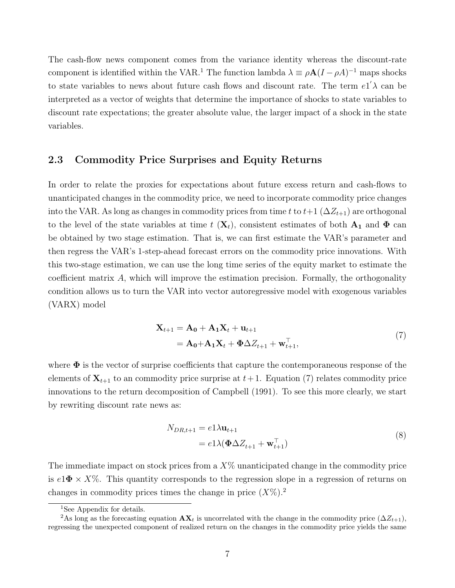The cash-flow news component comes from the variance identity whereas the discount-rate component is identified within the VAR.<sup>[1](#page-6-0)</sup> The function lambda  $\lambda \equiv \rho A (I - \rho A)^{-1}$  maps shocks to state variables to news about future cash flows and discount rate. The term  $e^{i}$  an be interpreted as a vector of weights that determine the importance of shocks to state variables to discount rate expectations; the greater absolute value, the larger impact of a shock in the state variables.

### 2.3 Commodity Price Surprises and Equity Returns

In order to relate the proxies for expectations about future excess return and cash-flows to unanticipated changes in the commodity price, we need to incorporate commodity price changes into the VAR. As long as changes in commodity prices from time t to  $t+1$  ( $\Delta Z_{t+1}$ ) are orthogonal to the level of the state variables at time t  $(X_t)$ , consistent estimates of both  $A_1$  and  $\Phi$  can be obtained by two stage estimation. That is, we can first estimate the VAR's parameter and then regress the VAR's 1-step-ahead forecast errors on the commodity price innovations. With this two-stage estimation, we can use the long time series of the equity market to estimate the coefficient matrix  $A$ , which will improve the estimation precision. Formally, the orthogonality condition allows us to turn the VAR into vector autoregressive model with exogenous variables (VARX) model

$$
\mathbf{X}_{t+1} = \mathbf{A_0} + \mathbf{A_1} \mathbf{X}_t + \mathbf{u}_{t+1}
$$
  
=  $\mathbf{A_0} + \mathbf{A_1} \mathbf{X}_t + \mathbf{\Phi} \Delta Z_{t+1} + \mathbf{w}_{t+1}^\top,$  (7)

<span id="page-6-1"></span>where  $\Phi$  is the vector of surprise coefficients that capture the contemporaneous response of the elements of  $X_{t+1}$  to an commodity price surprise at  $t+1$ . Equation [\(7\)](#page-6-1) relates commodity price innovations to the return decomposition of [Campbell](#page-18-3) [\(1991\)](#page-18-3). To see this more clearly, we start by rewriting discount rate news as:

$$
N_{DR,t+1} = e1\lambda \mathbf{u}_{t+1}
$$
  
=  $e1\lambda (\mathbf{\Phi} \Delta Z_{t+1} + \mathbf{w}_{t+1}^{\top})$  (8)

The immediate impact on stock prices from a  $X\%$  unanticipated change in the commodity price is  $e1\Phi \times X\%$ . This quantity corresponds to the regression slope in a regression of returns on changes in commodity prices times the change in price  $(X\%)$ .

<span id="page-6-2"></span><span id="page-6-0"></span><sup>&</sup>lt;sup>1</sup>See Appendix for details.

<sup>&</sup>lt;sup>2</sup>As long as the forecasting equation  $AX_t$  is uncorrelated with the change in the commodity price  $(\Delta Z_{t+1}),$ regressing the unexpected component of realized return on the changes in the commodity price yields the same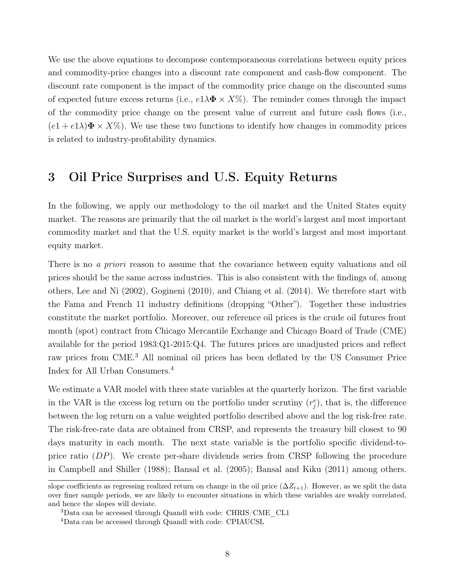We use the above equations to decompose contemporaneous correlations between equity prices and commodity-price changes into a discount rate component and cash-flow component. The discount rate component is the impact of the commodity price change on the discounted sums of expected future excess returns (i.e.,  $e1\lambda\Phi \times X\%$ ). The reminder comes through the impact of the commodity price change on the present value of current and future cash flows (i.e.,  $(e1 + e1\lambda)\mathbf{\Phi} \times X\%$ ). We use these two functions to identify how changes in commodity prices is related to industry-profitability dynamics.

## 3 Oil Price Surprises and U.S. Equity Returns

In the following, we apply our methodology to the oil market and the United States equity market. The reasons are primarily that the oil market is the world's largest and most important commodity market and that the U.S. equity market is the world's largest and most important equity market.

There is no *a priori* reason to assume that the covariance between equity valuations and oil prices should be the same across industries. This is also consistent with the findings of, among others, [Lee and Ni](#page-20-7) [\(2002\)](#page-20-7), [Gogineni](#page-19-7) [\(2010\)](#page-19-7), and [Chiang et al.](#page-19-9) [\(2014\)](#page-19-9). We therefore start with the Fama and French 11 industry definitions (dropping "Other"). Together these industries constitute the market portfolio. Moreover, our reference oil prices is the crude oil futures front month (spot) contract from Chicago Mercantile Exchange and Chicago Board of Trade (CME) available for the period 1983:Q1-2015:Q4. The futures prices are unadjusted prices and reflect raw prices from CME.[3](#page-7-0) All nominal oil prices has been deflated by the US Consumer Price Index for All Urban Consumers.[4](#page-7-1)

We estimate a VAR model with three state variables at the quarterly horizon. The first variable in the VAR is the excess log return on the portfolio under scrutiny  $(r_j^e)$ , that is, the difference between the log return on a value weighted portfolio described above and the log risk-free rate. The risk-free-rate data are obtained from CRSP, and represents the treasury bill closest to 90 days maturity in each month. The next state variable is the portfolio specific dividend-toprice ratio  $(DP)$ . We create per-share dividends series from CRSP following the procedure in [Campbell and Shiller](#page-19-3) [\(1988\)](#page-19-3); [Bansal et al.](#page-18-9) [\(2005\)](#page-18-9); [Bansal and Kiku](#page-18-10) [\(2011\)](#page-18-10) among others.

slope coefficients as regressing realized return on change in the oil price  $(\Delta Z_{t+1})$ . However, as we split the data over finer sample periods, we are likely to encounter situations in which these variables are weakly correlated, and hence the slopes will deviate.

<span id="page-7-0"></span> $3$ Data can be accessed through Quandl with code: CHRIS/CME CL1

<span id="page-7-1"></span><sup>4</sup>Data can be accessed through Quandl with code: CPIAUCSL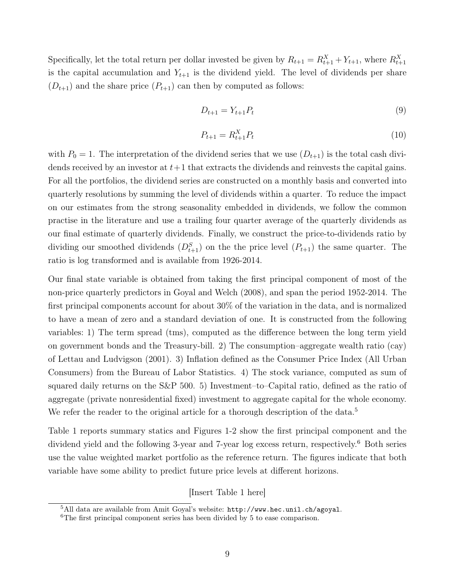Specifically, let the total return per dollar invested be given by  $R_{t+1} = R_{t+1}^X + Y_{t+1}$ , where  $R_{t+1}^X$ is the capital accumulation and  $Y_{t+1}$  is the dividend yield. The level of dividends per share  $(D_{t+1})$  and the share price  $(P_{t+1})$  can then by computed as follows:

$$
D_{t+1} = Y_{t+1} P_t \tag{9}
$$

$$
P_{t+1} = R_{t+1}^X P_t \tag{10}
$$

with  $P_0 = 1$ . The interpretation of the dividend series that we use  $(D_{t+1})$  is the total cash dividends received by an investor at  $t+1$  that extracts the dividends and reinvests the capital gains. For all the portfolios, the dividend series are constructed on a monthly basis and converted into quarterly resolutions by summing the level of dividends within a quarter. To reduce the impact on our estimates from the strong seasonality embedded in dividends, we follow the common practise in the literature and use a trailing four quarter average of the quarterly dividends as our final estimate of quarterly dividends. Finally, we construct the price-to-dividends ratio by dividing our smoothed dividends  $(D_{t+1}^S)$  on the the price level  $(P_{t+1})$  the same quarter. The ratio is log transformed and is available from 1926-2014.

Our final state variable is obtained from taking the first principal component of most of the non-price quarterly predictors in [Goyal and Welch](#page-19-10) [\(2008\)](#page-19-10), and span the period 1952-2014. The first principal components account for about 30% of the variation in the data, and is normalized to have a mean of zero and a standard deviation of one. It is constructed from the following variables: 1) The term spread (tms), computed as the difference between the long term yield on government bonds and the Treasury-bill. 2) The consumption–aggregate wealth ratio (cay) of [Lettau and Ludvigson](#page-20-13) [\(2001\)](#page-20-13). 3) Inflation defined as the Consumer Price Index (All Urban Consumers) from the Bureau of Labor Statistics. 4) The stock variance, computed as sum of squared daily returns on the S&P 500. 5) Investment–to–Capital ratio, defined as the ratio of aggregate (private nonresidential fixed) investment to aggregate capital for the whole economy. We refer the reader to the original article for a thorough description of the data.<sup>[5](#page-8-0)</sup>

Table [1](#page-23-0) reports summary statics and Figures [1-](#page-28-0)[2](#page-29-0) show the first principal component and the dividend yield and the following 3-year and 7-year log excess return, respectively.<sup>[6](#page-8-1)</sup> Both series use the value weighted market portfolio as the reference return. The figures indicate that both variable have some ability to predict future price levels at different horizons.

#### [Insert Table [1](#page-23-0) here]

<span id="page-8-0"></span> $5$ All data are available from Amit Goyal's website: <http://www.hec.unil.ch/agoyal>.

<span id="page-8-1"></span><sup>6</sup>The first principal component series has been divided by 5 to ease comparison.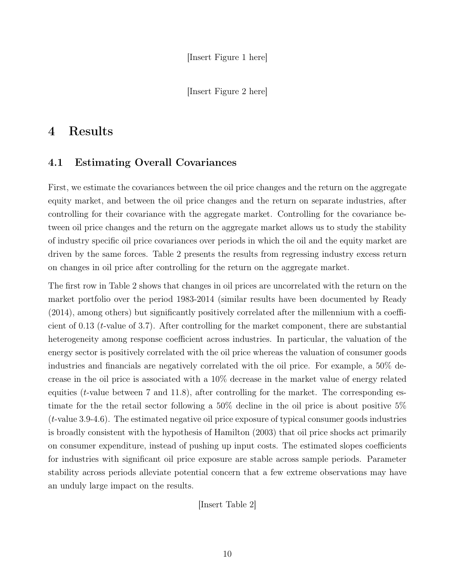[Insert Figure [2](#page-29-0) here]

## 4 Results

### 4.1 Estimating Overall Covariances

First, we estimate the covariances between the oil price changes and the return on the aggregate equity market, and between the oil price changes and the return on separate industries, after controlling for their covariance with the aggregate market. Controlling for the covariance between oil price changes and the return on the aggregate market allows us to study the stability of industry specific oil price covariances over periods in which the oil and the equity market are driven by the same forces. Table [2](#page-24-0) presents the results from regressing industry excess return on changes in oil price after controlling for the return on the aggregate market.

The first row in Table [2](#page-24-0) shows that changes in oil prices are uncorrelated with the return on the market portfolio over the period 1983-2014 (similar results have been documented by [Ready](#page-20-6) [\(2014\)](#page-20-6), among others) but significantly positively correlated after the millennium with a coefficient of 0.13 (t-value of 3.7). After controlling for the market component, there are substantial heterogeneity among response coefficient across industries. In particular, the valuation of the energy sector is positively correlated with the oil price whereas the valuation of consumer goods industries and financials are negatively correlated with the oil price. For example, a 50% decrease in the oil price is associated with a 10% decrease in the market value of energy related equities (*t*-value between 7 and 11.8), after controlling for the market. The corresponding estimate for the the retail sector following a 50% decline in the oil price is about positive 5% (t-value 3.9-4.6). The estimated negative oil price exposure of typical consumer goods industries is broadly consistent with the hypothesis of [Hamilton](#page-19-11) [\(2003\)](#page-19-11) that oil price shocks act primarily on consumer expenditure, instead of pushing up input costs. The estimated slopes coefficients for industries with significant oil price exposure are stable across sample periods. Parameter stability across periods alleviate potential concern that a few extreme observations may have an unduly large impact on the results.

[Insert Table [2\]](#page-24-0)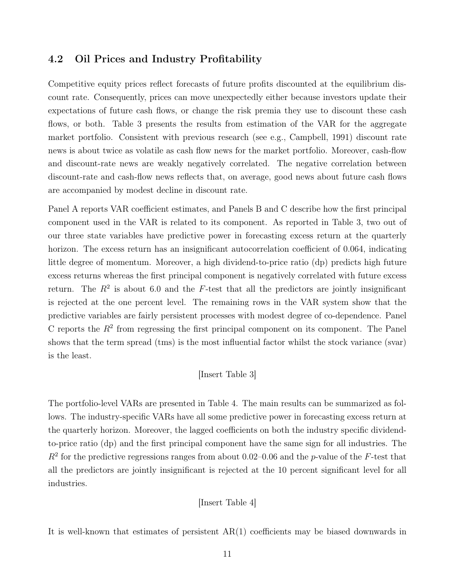### 4.2 Oil Prices and Industry Profitability

Competitive equity prices reflect forecasts of future profits discounted at the equilibrium discount rate. Consequently, prices can move unexpectedly either because investors update their expectations of future cash flows, or change the risk premia they use to discount these cash flows, or both. Table [3](#page-25-0) presents the results from estimation of the VAR for the aggregate market portfolio. Consistent with previous research (see e.g., [Campbell, 1991\)](#page-18-3) discount rate news is about twice as volatile as cash flow news for the market portfolio. Moreover, cash-flow and discount-rate news are weakly negatively correlated. The negative correlation between discount-rate and cash-flow news reflects that, on average, good news about future cash flows are accompanied by modest decline in discount rate.

Panel A reports VAR coefficient estimates, and Panels B and C describe how the first principal component used in the VAR is related to its component. As reported in Table [3,](#page-25-0) two out of our three state variables have predictive power in forecasting excess return at the quarterly horizon. The excess return has an insignificant autocorrelation coefficient of 0.064, indicating little degree of momentum. Moreover, a high dividend-to-price ratio (dp) predicts high future excess returns whereas the first principal component is negatively correlated with future excess return. The  $R^2$  is about 6.0 and the F-test that all the predictors are jointly insignificant is rejected at the one percent level. The remaining rows in the VAR system show that the predictive variables are fairly persistent processes with modest degree of co-dependence. Panel C reports the  $R<sup>2</sup>$  from regressing the first principal component on its component. The Panel shows that the term spread (tms) is the most influential factor whilst the stock variance (svar) is the least.

#### [Insert Table [3\]](#page-25-0)

The portfolio-level VARs are presented in Table [4.](#page-26-0) The main results can be summarized as follows. The industry-specific VARs have all some predictive power in forecasting excess return at the quarterly horizon. Moreover, the lagged coefficients on both the industry specific dividendto-price ratio (dp) and the first principal component have the same sign for all industries. The  $R<sup>2</sup>$  for the predictive regressions ranges from about 0.02–0.06 and the p-value of the F-test that all the predictors are jointly insignificant is rejected at the 10 percent significant level for all industries.

[Insert Table [4\]](#page-26-0)

It is well-known that estimates of persistent  $AR(1)$  coefficients may be biased downwards in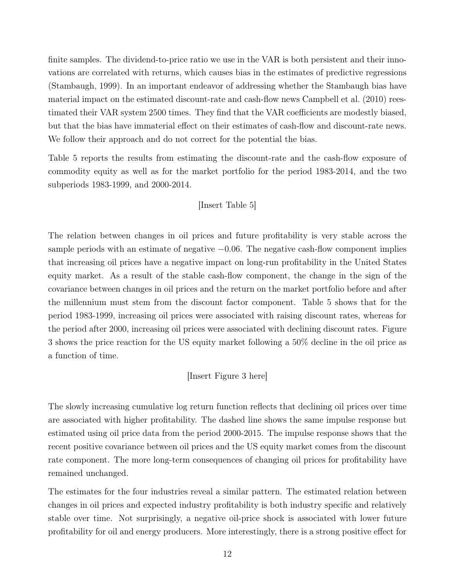finite samples. The dividend-to-price ratio we use in the VAR is both persistent and their innovations are correlated with returns, which causes bias in the estimates of predictive regressions [\(Stambaugh, 1999\)](#page-20-14). In an important endeavor of addressing whether the Stambaugh bias have material impact on the estimated discount-rate and cash-flow news [Campbell et al.](#page-19-12) [\(2010\)](#page-19-12) reestimated their VAR system 2500 times. They find that the VAR coefficients are modestly biased, but that the bias have immaterial effect on their estimates of cash-flow and discount-rate news. We follow their approach and do not correct for the potential the bias.

Table [5](#page-27-0) reports the results from estimating the discount-rate and the cash-flow exposure of commodity equity as well as for the market portfolio for the period 1983-2014, and the two subperiods 1983-1999, and 2000-2014.

#### [Insert Table [5\]](#page-27-0)

The relation between changes in oil prices and future profitability is very stable across the sample periods with an estimate of negative −0.06. The negative cash-flow component implies that increasing oil prices have a negative impact on long-run profitability in the United States equity market. As a result of the stable cash-flow component, the change in the sign of the covariance between changes in oil prices and the return on the market portfolio before and after the millennium must stem from the discount factor component. Table [5](#page-27-0) shows that for the period 1983-1999, increasing oil prices were associated with raising discount rates, whereas for the period after 2000, increasing oil prices were associated with declining discount rates. Figure [3](#page-29-1) shows the price reaction for the US equity market following a 50% decline in the oil price as a function of time.

#### [Insert Figure [3](#page-29-1) here]

The slowly increasing cumulative log return function reflects that declining oil prices over time are associated with higher profitability. The dashed line shows the same impulse response but estimated using oil price data from the period 2000-2015. The impulse response shows that the recent positive covariance between oil prices and the US equity market comes from the discount rate component. The more long-term consequences of changing oil prices for profitability have remained unchanged.

The estimates for the four industries reveal a similar pattern. The estimated relation between changes in oil prices and expected industry profitability is both industry specific and relatively stable over time. Not surprisingly, a negative oil-price shock is associated with lower future profitability for oil and energy producers. More interestingly, there is a strong positive effect for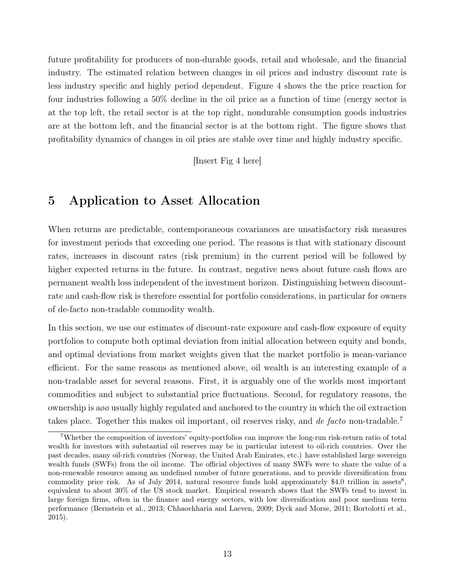future profitability for producers of non-durable goods, retail and wholesale, and the financial industry. The estimated relation between changes in oil prices and industry discount rate is less industry specific and highly period dependent. Figure [4](#page-30-0) shows the the price reaction for four industries following a 50% decline in the oil price as a function of time (energy sector is at the top left, the retail sector is at the top right, nondurable consumption goods industries are at the bottom left, and the financial sector is at the bottom right. The figure shows that profitability dynamics of changes in oil pries are stable over time and highly industry specific.

[Insert Fig [4](#page-30-0) here]

## 5 Application to Asset Allocation

When returns are predictable, contemporaneous covariances are unsatisfactory risk measures for investment periods that exceeding one period. The reasons is that with stationary discount rates, increases in discount rates (risk premium) in the current period will be followed by higher expected returns in the future. In contrast, negative news about future cash flows are permanent wealth loss independent of the investment horizon. Distinguishing between discountrate and cash-flow risk is therefore essential for portfolio considerations, in particular for owners of de-facto non-tradable commodity wealth.

In this section, we use our estimates of discount-rate exposure and cash-flow exposure of equity portfolios to compute both optimal deviation from initial allocation between equity and bonds, and optimal deviations from market weights given that the market portfolio is mean-variance efficient. For the same reasons as mentioned above, oil wealth is an interesting example of a non-tradable asset for several reasons. First, it is arguably one of the worlds most important commodities and subject to substantial price fluctuations. Second, for regulatory reasons, the ownership is aøø usually highly regulated and anchored to the country in which the oil extraction takes place. Together this makes oil important, oil reserves risky, and de facto non-tradable.<sup>[7](#page-12-0)</sup>

<span id="page-12-0"></span><sup>7</sup>Whether the composition of investors' equity-portfolios can improve the long-run risk-return ratio of total wealth for investors with substantial oil reserves may be in particular interest to oil-rich countries. Over the past decades, many oil-rich countries (Norway, the United Arab Emirates, etc.) have established large sovereign wealth funds (SWFs) from the oil income. The official objectives of many SWFs were to share the value of a non-renewable resource among an undefined number of future generations, and to provide diversification from commodity price risk. As of July 2014, natural resource funds hold approximately \$4.0 trillion in assets<sup>[8](#page-0-0)</sup>, equivalent to about 30% of the US stock market. Empirical research shows that the SWFs tend to invest in large foreign firms, often in the finance and energy sectors, with low diversification and poor medium term performance [\(Bernstein et al., 2013;](#page-18-11) [Chhaochharia and Laeven, 2009;](#page-19-13) [Dyck and Morse, 2011;](#page-19-14) [Bortolotti et al.,](#page-18-12) [2015\)](#page-18-12).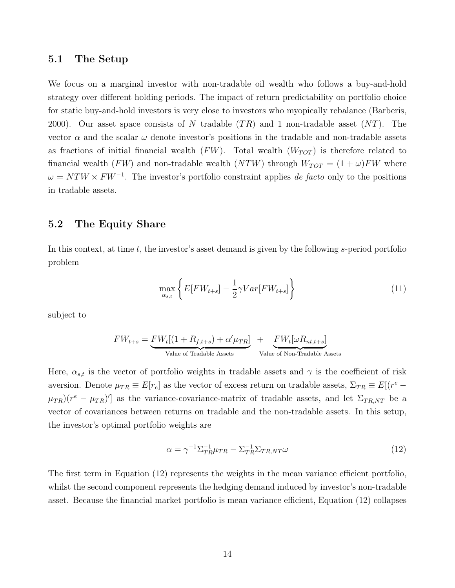#### 5.1 The Setup

We focus on a marginal investor with non-tradable oil wealth who follows a buy-and-hold strategy over different holding periods. The impact of return predictability on portfolio choice for static buy-and-hold investors is very close to investors who myopically rebalance [\(Barberis,](#page-18-13) [2000\)](#page-18-13). Our asset space consists of N tradable  $(TR)$  and 1 non-tradable asset  $(NT)$ . The vector  $\alpha$  and the scalar  $\omega$  denote investor's positions in the tradable and non-tradable assets as fractions of initial financial wealth  $(FW)$ . Total wealth  $(W_{TOT})$  is therefore related to financial wealth (FW) and non-tradable wealth (NTW) through  $W_{TOT} = (1 + \omega)FW$  where  $\omega = NTW \times FW^{-1}$ . The investor's portfolio constraint applies de facto only to the positions in tradable assets.

### 5.2 The Equity Share

In this context, at time  $t$ , the investor's asset demand is given by the following s-period portfolio problem

$$
\max_{\alpha_{s,t}} \left\{ E[FW_{t+s}] - \frac{1}{2} \gamma Var[FW_{t+s}] \right\} \tag{11}
$$

subject to

$$
FW_{t+s} = \underbrace{FW_t[(1 + R_{f,t+s}) + \alpha' \mu_{TR}]}_{\text{Value of Tradeble Assets}} + \underbrace{FW_t[\omega R_{nt,t+s}]}_{\text{Value of Non-Tradeable Assets}}
$$

Here,  $\alpha_{s,t}$  is the vector of portfolio weights in tradable assets and  $\gamma$  is the coefficient of risk aversion. Denote  $\mu_{TR} \equiv E[r_e]$  as the vector of excess return on tradable assets,  $\Sigma_{TR} \equiv E[(r_e + r_e)]$  $(\mu_{TR})$  $(r^e - \mu_{TR})'$  as the variance-covariance-matrix of tradable assets, and let  $\Sigma_{TR,NT}$  be a vector of covariances between returns on tradable and the non-tradable assets. In this setup, the investor's optimal portfolio weights are

<span id="page-13-0"></span>
$$
\alpha = \gamma^{-1} \Sigma_{TR}^{-1} \mu_{TR} - \Sigma_{TR}^{-1} \Sigma_{TR,NT} \omega \tag{12}
$$

The first term in Equation [\(12\)](#page-13-0) represents the weights in the mean variance efficient portfolio, whilst the second component represents the hedging demand induced by investor's non-tradable asset. Because the financial market portfolio is mean variance efficient, Equation [\(12\)](#page-13-0) collapses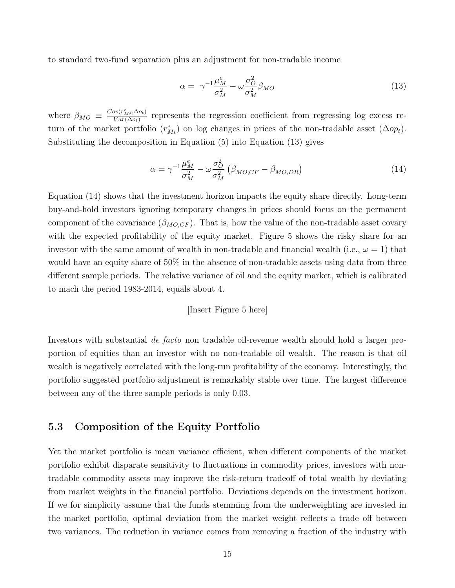to standard two-fund separation plus an adjustment for non-tradable income

<span id="page-14-0"></span>
$$
\alpha = \gamma^{-1} \frac{\mu_M^e}{\sigma_M^2} - \omega \frac{\sigma_O^2}{\sigma_M^2} \beta_{MO}
$$
\n(13)

where  $\beta_{MO} \equiv \frac{Cov(r_{Mt}^e, \Delta o_t)}{Var(\Delta o_t)}$  $\frac{\partial v(r_{Mt},\Delta o_t)}{\partial \alpha r(\Delta o_t)}$  represents the regression coefficient from regressing log excess return of the market portfolio  $(r_{Mt}^e)$  on log changes in prices of the non-tradable asset  $(\Delta op_t)$ . Substituting the decomposition in Equation [\(5\)](#page-5-0) into Equation [\(13\)](#page-14-0) gives

<span id="page-14-1"></span>
$$
\alpha = \gamma^{-1} \frac{\mu_M^e}{\sigma_M^2} - \omega \frac{\sigma_O^2}{\sigma_M^2} \left( \beta_{MO,CF} - \beta_{MO,DR} \right) \tag{14}
$$

Equation [\(14\)](#page-14-1) shows that the investment horizon impacts the equity share directly. Long-term buy-and-hold investors ignoring temporary changes in prices should focus on the permanent component of the covariance  $(\beta_{MO,CF})$ . That is, how the value of the non-tradable asset covary with the expected profitability of the equity market. Figure [5](#page-31-0) shows the risky share for an investor with the same amount of wealth in non-tradable and financial wealth (i.e.,  $\omega = 1$ ) that would have an equity share of 50% in the absence of non-tradable assets using data from three different sample periods. The relative variance of oil and the equity market, which is calibrated to mach the period 1983-2014, equals about 4.

#### [Insert Figure [5](#page-31-0) here]

Investors with substantial de facto non tradable oil-revenue wealth should hold a larger proportion of equities than an investor with no non-tradable oil wealth. The reason is that oil wealth is negatively correlated with the long-run profitability of the economy. Interestingly, the portfolio suggested portfolio adjustment is remarkably stable over time. The largest difference between any of the three sample periods is only 0.03.

### 5.3 Composition of the Equity Portfolio

Yet the market portfolio is mean variance efficient, when different components of the market portfolio exhibit disparate sensitivity to fluctuations in commodity prices, investors with nontradable commodity assets may improve the risk-return tradeoff of total wealth by deviating from market weights in the financial portfolio. Deviations depends on the investment horizon. If we for simplicity assume that the funds stemming from the underweighting are invested in the market portfolio, optimal deviation from the market weight reflects a trade off between two variances. The reduction in variance comes from removing a fraction of the industry with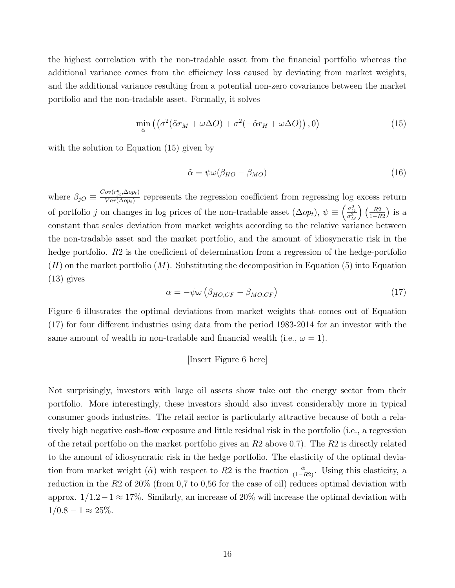the highest correlation with the non-tradable asset from the financial portfolio whereas the additional variance comes from the efficiency loss caused by deviating from market weights, and the additional variance resulting from a potential non-zero covariance between the market portfolio and the non-tradable asset. Formally, it solves

<span id="page-15-0"></span>
$$
\min_{\tilde{\alpha}} \left( \left( \sigma^2 (\tilde{\alpha} r_M + \omega \Delta O) + \sigma^2 (-\tilde{\alpha} r_H + \omega \Delta O) \right), 0 \right) \tag{15}
$$

with the solution to Equation  $(15)$  given by

$$
\tilde{\alpha} = \psi \omega (\beta_{HO} - \beta_{MO}) \tag{16}
$$

where  $\beta_{jO} \equiv \frac{Cov(r_{jt}^e, \Delta op_t)}{Var(\Delta op_t)}$  $\frac{\partial v(r_{jt}, \Delta op_t)}{\partial \alpha(r(\Delta op_t))}$  represents the regression coefficient from regressing log excess return of portfolio j on changes in log prices of the non-tradable asset  $(\Delta op_t)$ ,  $\psi \equiv \left(\frac{\sigma_O^2}{\sigma_M^2}\right) \left(\frac{R2}{1-R}\right)$  $\frac{R2}{1-R2}$ ) is a constant that scales deviation from market weights according to the relative variance between the non-tradable asset and the market portfolio, and the amount of idiosyncratic risk in the hedge portfolio. R2 is the coefficient of determination from a regression of the hedge-portfolio  $(H)$  on the market portfolio  $(M)$ . Substituting the decomposition in Equation [\(5\)](#page-5-0) into Equation [\(13\)](#page-14-0) gives

<span id="page-15-1"></span>
$$
\alpha = -\psi \omega \left( \beta_{HO,CF} - \beta_{MO,CF} \right) \tag{17}
$$

Figure [6](#page-31-1) illustrates the optimal deviations from market weights that comes out of Equation [\(17\)](#page-15-1) for four different industries using data from the period 1983-2014 for an investor with the same amount of wealth in non-tradable and financial wealth (i.e.,  $\omega = 1$ ).

#### [Insert Figure [6](#page-31-1) here]

Not surprisingly, investors with large oil assets show take out the energy sector from their portfolio. More interestingly, these investors should also invest considerably more in typical consumer goods industries. The retail sector is particularly attractive because of both a relatively high negative cash-flow exposure and little residual risk in the portfolio (i.e., a regression of the retail portfolio on the market portfolio gives an  $R2$  above 0.7). The  $R2$  is directly related to the amount of idiosyncratic risk in the hedge portfolio. The elasticity of the optimal deviation from market weight ( $\tilde{\alpha}$ ) with respect to R2 is the fraction  $\frac{\tilde{\alpha}}{(1-R2)}$ . Using this elasticity, a reduction in the  $R2$  of  $20\%$  (from 0,7 to 0,56 for the case of oil) reduces optimal deviation with approx.  $1/1.2-1 \approx 17\%$ . Similarly, an increase of 20% will increase the optimal deviation with  $1/0.8 - 1 \approx 25\%.$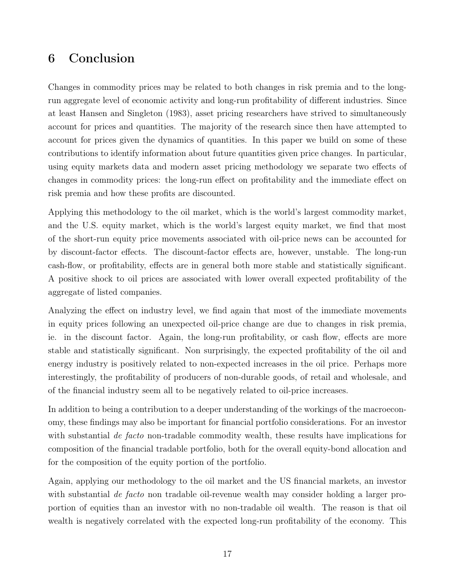## 6 Conclusion

Changes in commodity prices may be related to both changes in risk premia and to the longrun aggregate level of economic activity and long-run profitability of different industries. Since at least [Hansen and Singleton](#page-20-1) [\(1983\)](#page-20-1), asset pricing researchers have strived to simultaneously account for prices and quantities. The majority of the research since then have attempted to account for prices given the dynamics of quantities. In this paper we build on some of these contributions to identify information about future quantities given price changes. In particular, using equity markets data and modern asset pricing methodology we separate two effects of changes in commodity prices: the long-run effect on profitability and the immediate effect on risk premia and how these profits are discounted.

Applying this methodology to the oil market, which is the world's largest commodity market, and the U.S. equity market, which is the world's largest equity market, we find that most of the short-run equity price movements associated with oil-price news can be accounted for by discount-factor effects. The discount-factor effects are, however, unstable. The long-run cash-flow, or profitability, effects are in general both more stable and statistically significant. A positive shock to oil prices are associated with lower overall expected profitability of the aggregate of listed companies.

Analyzing the effect on industry level, we find again that most of the immediate movements in equity prices following an unexpected oil-price change are due to changes in risk premia, ie. in the discount factor. Again, the long-run profitability, or cash flow, effects are more stable and statistically significant. Non surprisingly, the expected profitability of the oil and energy industry is positively related to non-expected increases in the oil price. Perhaps more interestingly, the profitability of producers of non-durable goods, of retail and wholesale, and of the financial industry seem all to be negatively related to oil-price increases.

In addition to being a contribution to a deeper understanding of the workings of the macroeconomy, these findings may also be important for financial portfolio considerations. For an investor with substantial *de facto* non-tradable commodity wealth, these results have implications for composition of the financial tradable portfolio, both for the overall equity-bond allocation and for the composition of the equity portion of the portfolio.

Again, applying our methodology to the oil market and the US financial markets, an investor with substantial *de facto* non tradable oil-revenue wealth may consider holding a larger proportion of equities than an investor with no non-tradable oil wealth. The reason is that oil wealth is negatively correlated with the expected long-run profitability of the economy. This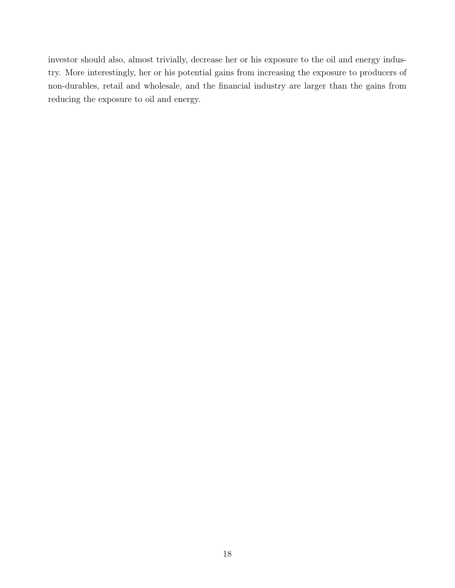investor should also, almost trivially, decrease her or his exposure to the oil and energy industry. More interestingly, her or his potential gains from increasing the exposure to producers of non-durables, retail and wholesale, and the financial industry are larger than the gains from reducing the exposure to oil and energy.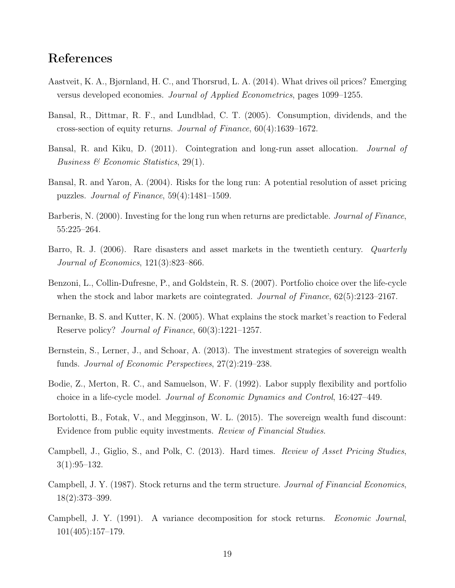## References

- <span id="page-18-5"></span>Aastveit, K. A., Bjørnland, H. C., and Thorsrud, L. A. (2014). What drives oil prices? Emerging versus developed economies. Journal of Applied Econometrics, pages 1099–1255.
- <span id="page-18-9"></span>Bansal, R., Dittmar, R. F., and Lundblad, C. T. (2005). Consumption, dividends, and the cross-section of equity returns. Journal of Finance, 60(4):1639–1672.
- <span id="page-18-10"></span>Bansal, R. and Kiku, D. (2011). Cointegration and long-run asset allocation. *Journal of* Business  $\mathcal{B}$  Economic Statistics, 29(1).
- <span id="page-18-0"></span>Bansal, R. and Yaron, A. (2004). Risks for the long run: A potential resolution of asset pricing puzzles. Journal of Finance, 59(4):1481–1509.
- <span id="page-18-13"></span>Barberis, N. (2000). Investing for the long run when returns are predictable. Journal of Finance, 55:225–264.
- <span id="page-18-1"></span>Barro, R. J. (2006). Rare disasters and asset markets in the twentieth century. *Quarterly* Journal of Economics, 121(3):823–866.
- <span id="page-18-7"></span>Benzoni, L., Collin-Dufresne, P., and Goldstein, R. S. (2007). Portfolio choice over the life-cycle when the stock and labor markets are cointegrated. *Journal of Finance*, 62(5):2123–2167.
- <span id="page-18-4"></span>Bernanke, B. S. and Kutter, K. N. (2005). What explains the stock market's reaction to Federal Reserve policy? Journal of Finance, 60(3):1221–1257.
- <span id="page-18-11"></span>Bernstein, S., Lerner, J., and Schoar, A. (2013). The investment strategies of sovereign wealth funds. Journal of Economic Perspectives, 27(2):219–238.
- <span id="page-18-6"></span>Bodie, Z., Merton, R. C., and Samuelson, W. F. (1992). Labor supply flexibility and portfolio choice in a life-cycle model. Journal of Economic Dynamics and Control, 16:427–449.
- <span id="page-18-12"></span>Bortolotti, B., Fotak, V., and Megginson, W. L. (2015). The sovereign wealth fund discount: Evidence from public equity investments. Review of Financial Studies.
- <span id="page-18-8"></span>Campbell, J., Giglio, S., and Polk, C. (2013). Hard times. Review of Asset Pricing Studies,  $3(1):95-132.$
- <span id="page-18-2"></span>Campbell, J. Y. (1987). Stock returns and the term structure. Journal of Financial Economics, 18(2):373–399.
- <span id="page-18-3"></span>Campbell, J. Y. (1991). A variance decomposition for stock returns. Economic Journal, 101(405):157–179.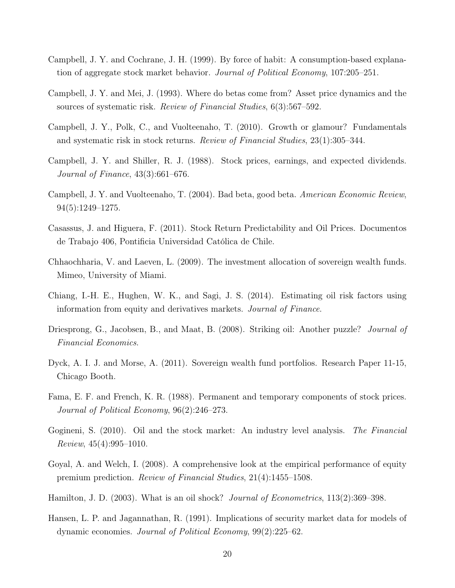- <span id="page-19-1"></span>Campbell, J. Y. and Cochrane, J. H. (1999). By force of habit: A consumption-based explanation of aggregate stock market behavior. Journal of Political Economy, 107:205–251.
- <span id="page-19-4"></span>Campbell, J. Y. and Mei, J. (1993). Where do betas come from? Asset price dynamics and the sources of systematic risk. Review of Financial Studies, 6(3):567–592.
- <span id="page-19-12"></span>Campbell, J. Y., Polk, C., and Vuolteenaho, T. (2010). Growth or glamour? Fundamentals and systematic risk in stock returns. Review of Financial Studies, 23(1):305–344.
- <span id="page-19-3"></span>Campbell, J. Y. and Shiller, R. J. (1988). Stock prices, earnings, and expected dividends. Journal of Finance, 43(3):661–676.
- <span id="page-19-8"></span>Campbell, J. Y. and Vuolteenaho, T. (2004). Bad beta, good beta. American Economic Review, 94(5):1249–1275.
- <span id="page-19-6"></span>Casassus, J. and Higuera, F. (2011). Stock Return Predictability and Oil Prices. Documentos de Trabajo 406, Pontificia Universidad Católica de Chile.
- <span id="page-19-13"></span>Chhaochharia, V. and Laeven, L. (2009). The investment allocation of sovereign wealth funds. Mimeo, University of Miami.
- <span id="page-19-9"></span>Chiang, I.-H. E., Hughen, W. K., and Sagi, J. S. (2014). Estimating oil risk factors using information from equity and derivatives markets. Journal of Finance.
- <span id="page-19-5"></span>Driesprong, G., Jacobsen, B., and Maat, B. (2008). Striking oil: Another puzzle? *Journal of* Financial Economics.
- <span id="page-19-14"></span>Dyck, A. I. J. and Morse, A. (2011). Sovereign wealth fund portfolios. Research Paper 11-15, Chicago Booth.
- <span id="page-19-2"></span>Fama, E. F. and French, K. R. (1988). Permanent and temporary components of stock prices. Journal of Political Economy, 96(2):246–273.
- <span id="page-19-7"></span>Gogineni, S. (2010). Oil and the stock market: An industry level analysis. The Financial  $Review, 45(4):995-1010.$
- <span id="page-19-10"></span>Goyal, A. and Welch, I. (2008). A comprehensive look at the empirical performance of equity premium prediction. Review of Financial Studies, 21(4):1455–1508.
- <span id="page-19-11"></span>Hamilton, J. D. (2003). What is an oil shock? *Journal of Econometrics*, 113(2):369–398.
- <span id="page-19-0"></span>Hansen, L. P. and Jagannathan, R. (1991). Implications of security market data for models of dynamic economies. Journal of Political Economy, 99(2):225–62.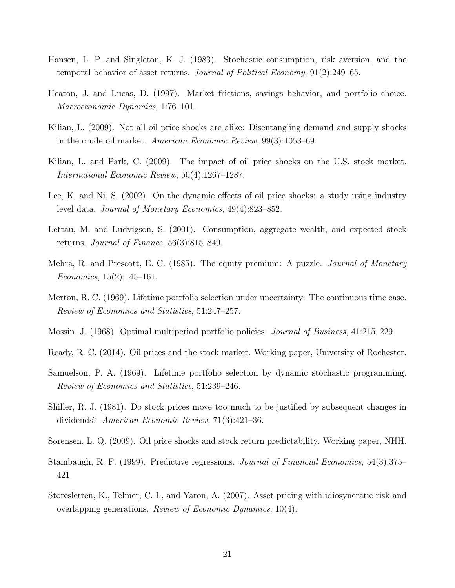- <span id="page-20-1"></span>Hansen, L. P. and Singleton, K. J. (1983). Stochastic consumption, risk aversion, and the temporal behavior of asset returns. Journal of Political Economy, 91(2):249–65.
- <span id="page-20-11"></span>Heaton, J. and Lucas, D. (1997). Market frictions, savings behavior, and portfolio choice. Macroeconomic Dynamics, 1:76–101.
- <span id="page-20-4"></span>Kilian, L. (2009). Not all oil price shocks are alike: Disentangling demand and supply shocks in the crude oil market. American Economic Review, 99(3):1053–69.
- <span id="page-20-5"></span>Kilian, L. and Park, C. (2009). The impact of oil price shocks on the U.S. stock market. International Economic Review, 50(4):1267–1287.
- <span id="page-20-7"></span>Lee, K. and Ni, S. (2002). On the dynamic effects of oil price shocks: a study using industry level data. Journal of Monetary Economics, 49(4):823–852.
- <span id="page-20-13"></span>Lettau, M. and Ludvigson, S. (2001). Consumption, aggregate wealth, and expected stock returns. Journal of Finance, 56(3):815–849.
- <span id="page-20-2"></span>Mehra, R. and Prescott, E. C. (1985). The equity premium: A puzzle. *Journal of Monetary*  $Economics, 15(2):145-161.$
- <span id="page-20-10"></span>Merton, R. C. (1969). Lifetime portfolio selection under uncertainty: The continuous time case. Review of Economics and Statistics, 51:247–257.
- <span id="page-20-8"></span>Mossin, J. (1968). Optimal multiperiod portfolio policies. Journal of Business, 41:215–229.
- <span id="page-20-6"></span>Ready, R. C. (2014). Oil prices and the stock market. Working paper, University of Rochester.
- <span id="page-20-9"></span>Samuelson, P. A. (1969). Lifetime portfolio selection by dynamic stochastic programming. Review of Economics and Statistics, 51:239–246.
- <span id="page-20-0"></span>Shiller, R. J. (1981). Do stock prices move too much to be justified by subsequent changes in dividends? American Economic Review, 71(3):421–36.
- <span id="page-20-3"></span>Sørensen, L. Q. (2009). Oil price shocks and stock return predictability. Working paper, NHH.
- <span id="page-20-14"></span>Stambaugh, R. F. (1999). Predictive regressions. Journal of Financial Economics, 54(3):375– 421.
- <span id="page-20-12"></span>Storesletten, K., Telmer, C. I., and Yaron, A. (2007). Asset pricing with idiosyncratic risk and overlapping generations. Review of Economic Dynamics, 10(4).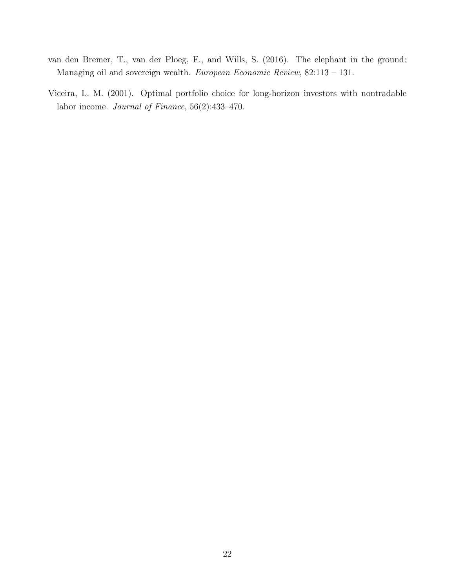- <span id="page-21-1"></span>van den Bremer, T., van der Ploeg, F., and Wills, S. (2016). The elephant in the ground: Managing oil and sovereign wealth. European Economic Review, 82:113 – 131.
- <span id="page-21-0"></span>Viceira, L. M. (2001). Optimal portfolio choice for long-horizon investors with nontradable labor income. Journal of Finance, 56(2):433–470.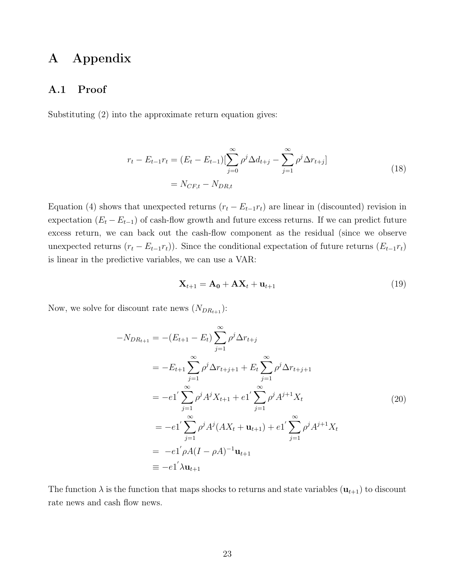## A Appendix

### A.1 Proof

Substituting (2) into the approximate return equation gives:

$$
r_{t} - E_{t-1}r_{t} = (E_{t} - E_{t-1})\left[\sum_{j=0}^{\infty} \rho^{j} \Delta d_{t+j} - \sum_{j=1}^{\infty} \rho^{j} \Delta r_{t+j}\right]
$$
  
=  $N_{CF,t} - N_{DR,t}$  (18)

Equation (4) shows that unexpected returns  $(r_t - E_{t-1}r_t)$  are linear in (discounted) revision in expectation  $(E_t - E_{t-1})$  of cash-flow growth and future excess returns. If we can predict future excess return, we can back out the cash-flow component as the residual (since we observe unexpected returns  $(r_t - E_{t-1}r_t)$ . Since the conditional expectation of future returns  $(E_{t-1}r_t)$ is linear in the predictive variables, we can use a VAR:

$$
\mathbf{X}_{t+1} = \mathbf{A_0} + \mathbf{A} \mathbf{X}_t + \mathbf{u}_{t+1} \tag{19}
$$

Now, we solve for discount rate news  $(N_{DR_{t+1}})$ :

$$
-N_{DR_{t+1}} = -(E_{t+1} - E_t) \sum_{j=1}^{\infty} \rho^j \Delta r_{t+j}
$$
  
= 
$$
-E_{t+1} \sum_{j=1}^{\infty} \rho^j \Delta r_{t+j+1} + E_t \sum_{j=1}^{\infty} \rho^j \Delta r_{t+j+1}
$$
  
= 
$$
-e_1 \sum_{j=1}^{\infty} \rho^j A^j X_{t+1} + e_1 \sum_{j=1}^{\infty} \rho^j A^{j+1} X_t
$$
  
= 
$$
-e_1 \sum_{j=1}^{\infty} \rho^j A^j (AX_t + \mathbf{u}_{t+1}) + e_1 \sum_{j=1}^{\infty} \rho^j A^{j+1} X_t
$$
  
= 
$$
-e_1 \rho A (I - \rho A)^{-1} \mathbf{u}_{t+1}
$$
  
= 
$$
-e_1 \lambda \mathbf{u}_{t+1}
$$

The function  $\lambda$  is the function that maps shocks to returns and state variables  $(\mathbf{u}_{t+1})$  to discount rate news and cash flow news.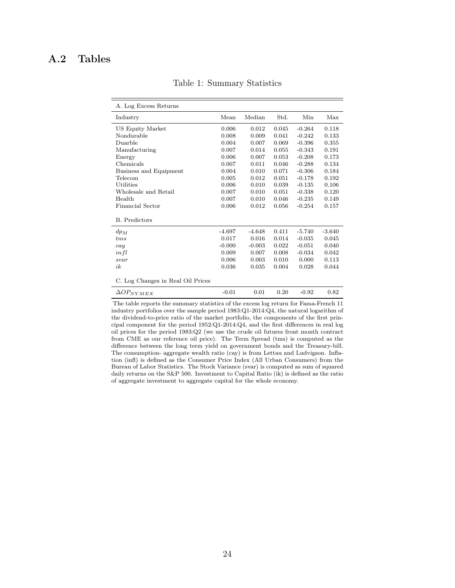### <span id="page-23-0"></span>A.2 Tables

| A. Log Excess Returns             |          |          |       |          |          |
|-----------------------------------|----------|----------|-------|----------|----------|
| Industry                          | Mean     | Median   | Std.  | Min      | Max      |
| US Equity Market                  | 0.006    | 0.012    | 0.045 | $-0.264$ | 0.118    |
| Nondurable                        | 0.008    | 0.009    | 0.041 | $-0.242$ | 0.133    |
| Duarble                           | 0.004    | 0.007    | 0.069 | $-0.396$ | 0.355    |
| Manufacturing                     | 0.007    | 0.014    | 0.055 | $-0.343$ | 0.191    |
| Energy                            | 0.006    | 0.007    | 0.053 | $-0.208$ | 0.173    |
| Chemicals                         | 0.007    | 0.011    | 0.046 | $-0.288$ | 0.134    |
| Business and Equipment            | 0.004    | 0.010    | 0.071 | $-0.306$ | 0.184    |
| Telecom                           | 0.005    | 0.012    | 0.051 | $-0.178$ | 0.192    |
| Utilities                         | 0.006    | 0.010    | 0.039 | $-0.135$ | 0.106    |
| Wholesale and Retail              | 0.007    | 0.010    | 0.051 | $-0.338$ | 0.120    |
| Health                            | 0.007    | 0.010    | 0.046 | $-0.235$ | 0.149    |
| <b>Financial Sector</b>           | 0.006    | 0.012    | 0.056 | $-0.254$ | 0.157    |
| <b>B.</b> Predictors              |          |          |       |          |          |
| $dp_M$                            | $-4.697$ | $-4.648$ | 0.411 | $-5.740$ | $-3.640$ |
| tms                               | 0.017    | 0.016    | 0.014 | $-0.035$ | 0.045    |
| cay                               | $-0.000$ | $-0.003$ | 0.022 | $-0.051$ | 0.040    |
| infl                              | 0.009    | 0.007    | 0.008 | $-0.034$ | 0.042    |
| svar                              | 0.006    | 0.003    | 0.010 | 0.000    | 0.113    |
| ik                                | 0.036    | 0.035    | 0.004 | 0.028    | 0.044    |
| C. Log Changes in Real Oil Prices |          |          |       |          |          |
| $\Delta OP_{NYMEX}$               | $-0.01$  | 0.01     | 0.20  | $-0.92$  | 0.82     |

Table 1: Summary Statistics

The table reports the summary statistics of the excess log return for Fama-French 11 industry portfolios over the sample period 1983:Q1-2014:Q4, the natural logarithm of the dividend-to-price ratio of the market portfolio, the components of the first principal component for the period 1952:Q1-2014:Q4, and the first differences in real log oil prices for the period 1983:Q2 (we use the crude oil futures front month contract from CME as our reference oil price). The Term Spread (tms) is computed as the difference between the long term yield on government bonds and the Treasury-bill. The consumption- aggregate wealth ratio (cay) is from Lettau and Ludvigson. Inflation (infl) is defined as the Consumer Price Index (All Urban Consumers) from the Bureau of Labor Statistics. The Stock Variance (svar) is computed as sum of squared daily returns on the S&P 500. Investment to Capital Ratio (ik) is defined as the ratio of aggregate investment to aggregate capital for the whole economy.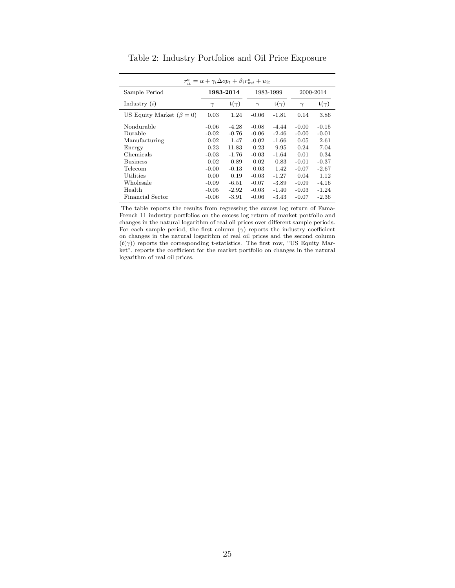<span id="page-24-0"></span>

|                                |          | $r_{it}^e = \alpha + \gamma_i \Delta op_t + \beta_i r_{mt}^e + u_{it}$ |          |             |          |             |
|--------------------------------|----------|------------------------------------------------------------------------|----------|-------------|----------|-------------|
| Sample Period                  |          | 1983-2014                                                              |          | 1983-1999   |          | 2000-2014   |
| Industry $(i)$                 | $\gamma$ | $t(\gamma)$                                                            | $\gamma$ | $t(\gamma)$ | $\gamma$ | $t(\gamma)$ |
| US Equity Market $(\beta = 0)$ | 0.03     | 1.24                                                                   | $-0.06$  | $-1.81$     | 0.14     | 3.86        |
| Nondurable                     | $-0.06$  | $-4.28$                                                                | $-0.08$  | $-4.44$     | $-0.00$  | $-0.15$     |
| Durable                        | $-0.02$  | $-0.76$                                                                | $-0.06$  | $-2.46$     | $-0.00$  | $-0.01$     |
| Manufacturing                  | 0.02     | 1.47                                                                   | $-0.02$  | $-1.66$     | 0.05     | 2.61        |
| Energy                         | 0.23     | 11.83                                                                  | 0.23     | 9.95        | 0.24     | 7.04        |
| Chemicals                      | $-0.03$  | $-1.76$                                                                | $-0.03$  | $-1.64$     | 0.01     | 0.34        |
| <b>Business</b>                | 0.02     | 0.89                                                                   | 0.02     | 0.83        | $-0.01$  | $-0.37$     |
| Telecom                        | $-0.00$  | $-0.13$                                                                | 0.03     | 1.42        | $-0.07$  | $-2.67$     |
| Utilities                      | 0.00     | 0.19                                                                   | $-0.03$  | $-1.27$     | 0.04     | 1.12        |
| Wholesale                      | $-0.09$  | $-6.51$                                                                | $-0.07$  | $-3.89$     | $-0.09$  | $-4.16$     |
| Health                         | $-0.05$  | $-2.92$                                                                | $-0.03$  | $-1.40$     | $-0.03$  | $-1.24$     |
| Financial Sector               | $-0.06$  | $-3.91$                                                                | $-0.06$  | $-3.43$     | $-0.07$  | $-2.36$     |

Table 2: Industry Portfolios and Oil Price Exposure

The table reports the results from regressing the excess log return of Fama-French 11 industry portfolios on the excess log return of market portfolio and changes in the natural logarithm of real oil prices over different sample periods. For each sample period, the first column  $(\gamma)$  reports the industry coefficient on changes in the natural logarithm of real oil prices and the second column  $(t(\gamma))$  reports the corresponding t-statistics. The first row, "US Equity Market", reports the coefficient for the market portfolio on changes in the natural logarithm of real oil prices.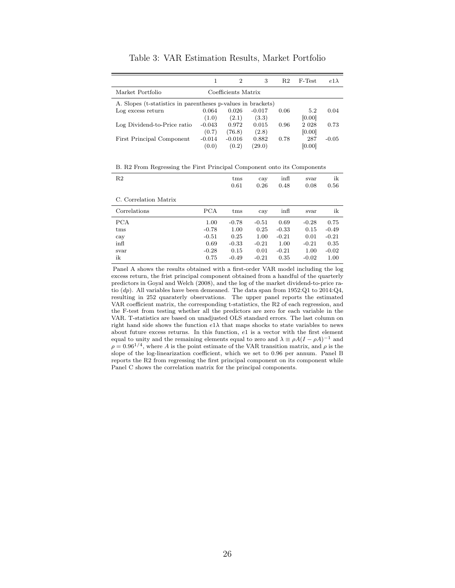<span id="page-25-0"></span>

|                                                              |          | $\overline{2}$      | 3        | R2   | F-Test  | $e1\lambda$ |
|--------------------------------------------------------------|----------|---------------------|----------|------|---------|-------------|
| Market Portfolio                                             |          | Coefficients Matrix |          |      |         |             |
| A. Slopes (t-statistics in parentheses p-values in brackets) |          |                     |          |      |         |             |
| Log excess return                                            | 0.064    | 0.026               | $-0.017$ | 0.06 | 5.2     | 0.04        |
|                                                              | (1.0)    | (2.1)               | (3.3)    |      | [0.00]  |             |
| Log Dividend-to-Price ratio                                  | $-0.043$ | 0.972               | 0.015    | 0.96 | 2 0 2 8 | 0.73        |
|                                                              | (0.7)    | (76.8)              | (2.8)    |      | [0.00]  |             |
| First Principal Component                                    | $-0.014$ | $-0.016$            | 0.882    | 0.78 | 287     | $-0.05$     |
|                                                              | (0.0)    | (0.2)               | (29.0)   |      | [0.00]  |             |

Table 3: VAR Estimation Results, Market Portfolio

B. R2 From Regressing the First Principal Component onto its Components

| R <sub>2</sub>        |         | t <sub>ms</sub><br>0.61 | cay<br>0.26 | $\inf$<br>0.48 | svar<br>0.08 | ik<br>0.56 |
|-----------------------|---------|-------------------------|-------------|----------------|--------------|------------|
| C. Correlation Matrix |         |                         |             |                |              |            |
| Correlations          | PCA     | t <sub>ms</sub>         | cay         | $\inf$         | svar         | ik         |
| PCA                   | 1.00    | $-0.78$                 | $-0.51$     | 0.69           | $-0.28$      | 0.75       |
| tms                   | $-0.78$ | 1.00                    | 0.25        | $-0.33$        | 0.15         | $-0.49$    |
| cay                   | $-0.51$ | 0.25                    | 1.00        | $-0.21$        | 0.01         | $-0.21$    |
| infl                  | 0.69    | $-0.33$                 | $-0.21$     | 1.00           | $-0.21$      | 0.35       |
| svar                  | $-0.28$ | 0.15                    | 0.01        | $-0.21$        | 1.00         | $-0.02$    |

ik 0.75 -0.49 -0.21 0.35 -0.02 1.00

Panel A shows the results obtained with a first-order VAR model including the log excess return, the frist principal component obtained from a handful of the quarterly predictors in [Goyal and Welch](#page-19-10) [\(2008\)](#page-19-10), and the log of the market dividend-to-price ratio (dp). All variables have been demeaned. The data span from 1952:Q1 to 2014:Q4, resulting in 252 quaraterly observations. The upper panel reports the estimated VAR coefficient matrix, the corresponding t-statistics, the R2 of each regression, and the F-test from testing whether all the predictors are zero for each variable in the VAR. T-statistics are based on unadjusted OLS standard errors. The last column on right hand side shows the function  $e1\lambda$  that maps shocks to state variables to news about future excess returns. In this function, e1 is a vector with the first element equal to unity and the remaining elements equal to zero and  $\lambda \equiv \rho A (I - \rho A)^{-1}$  and  $\rho = 0.96^{1/4}$ , where A is the point estimate of the VAR transition matrix, and  $\rho$  is the slope of the log-linearization coefficient, which we set to 0.96 per annum. Panel B reports the R2 from regressing the first principal component on its component while Panel C shows the correlation matrix for the principal components.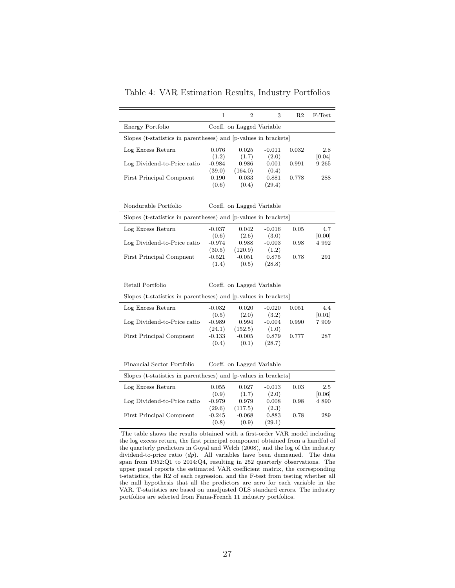<span id="page-26-0"></span>

|                                                                 | 1                  | $\overline{2}$            | 3                 | R <sub>2</sub> | F-Test            |
|-----------------------------------------------------------------|--------------------|---------------------------|-------------------|----------------|-------------------|
| Energy Portfolio                                                |                    | Coeff. on Lagged Variable |                   |                |                   |
| Slopes (t-statistics in parentheses) and [p-values in brackets] |                    |                           |                   |                |                   |
| Log Excess Return                                               | 0.076              | 0.025                     | $-0.011$          | 0.032          | 2.8               |
| Log Dividend-to-Price ratio                                     | (1.2)<br>$-0.984$  | (1.7)<br>0.986            | (2.0)<br>0.001    | 0.991          | [0.04]<br>9 2 6 5 |
|                                                                 | (39.0)             | (164.0)                   | (0.4)             |                |                   |
| First Principal Compnent                                        | 0.190<br>(0.6)     | 0.033<br>(0.4)            | 0.881<br>(29.4)   | 0.778          | 288               |
|                                                                 |                    |                           |                   |                |                   |
| Nondurable Portfolio                                            |                    | Coeff. on Lagged Variable |                   |                |                   |
| Slopes (t-statistics in parentheses) and [p-values in brackets] |                    |                           |                   |                |                   |
| Log Excess Return                                               | $-0.037$           | 0.042                     | $-0.016$          | 0.05           | 4.7               |
| Log Dividend-to-Price ratio                                     | (0.6)<br>$-0.974$  | (2.6)<br>0.988            | (3.0)<br>$-0.003$ | 0.98           | [0.00]<br>4 9 9 2 |
|                                                                 | (30.5)             | (120.9)                   | (1.2)             |                |                   |
| First Principal Compnent                                        | $-0.521$           | $-0.051$                  | 0.875             | 0.78           | 291               |
|                                                                 | (1.4)              | (0.5)                     | (28.8)            |                |                   |
|                                                                 |                    |                           |                   |                |                   |
| Retail Portfolio                                                |                    | Coeff. on Lagged Variable |                   |                |                   |
| Slopes (t-statistics in parentheses) and [p-values in brackets] |                    |                           |                   |                |                   |
| Log Excess Return                                               | $-0.032$           | 0.020                     | $-0.020$          | 0.051          | 4.4               |
| Log Dividend-to-Price ratio                                     | (0.5)<br>$-0.989$  | (2.0)<br>0.994            | (3.2)<br>$-0.004$ | 0.990          | 0.01 <br>7 909    |
|                                                                 | (24.1)             | (152.5)                   | (1.0)             |                |                   |
| <b>First Principal Compnent</b>                                 | $-0.133$           | $-0.005$                  | 0.879             | 0.777          | 287               |
|                                                                 | (0.4)              | (0.1)                     | (28.7)            |                |                   |
|                                                                 |                    |                           |                   |                |                   |
| Financial Sector Portfolio                                      |                    | Coeff. on Lagged Variable |                   |                |                   |
| Slopes (t-statistics in parentheses) and [p-values in brackets] |                    |                           |                   |                |                   |
| Log Excess Return                                               | 0.055              | 0.027                     | $-0.013$          | 0.03           | 2.5               |
|                                                                 | (0.9)              | (1.7)                     | (2.0)             |                | [0.06]            |
| Log Dividend-to-Price ratio                                     | $-0.979$<br>(29.6) | 0.979<br>(117.5)          | 0.008<br>(2.3)    | 0.98           | 4 8 9 0           |
| First Principal Compnent                                        | $-0.245$           | $-0.068$                  | 0.883             | 0.78           | 289               |
|                                                                 | (0.8)              | (0.9)                     | (29.1)            |                |                   |
|                                                                 |                    |                           |                   |                |                   |

Table 4: VAR Estimation Results, Industry Portfolios

The table shows the results obtained with a first-order VAR model including the log excess return, the first principal component obtained from a handful of the quarterly predictors in [Goyal and Welch](#page-19-10) [\(2008\)](#page-19-10), and the log of the industry dividend-to-price ratio  $(dp)$ . All variables have been demeaned. The data span from 1952:Q1 to 2014:Q4, resulting in 252 quarterly observations. The upper panel reports the estimated VAR coefficient matrix, the corresponding t-statistics, the R2 of each regression, and the F-test from testing whether all the null hypothesis that all the predictors are zero for each variable in the VAR. T-statistics are based on unadjusted OLS standard errors. The industry portfolios are selected from Fama-French 11 industry portfolios.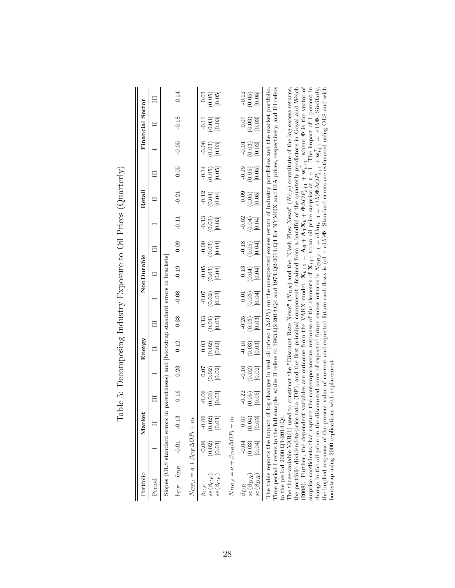| I<br>ׇ֒<br>I<br>I<br>ζ                                                                                          |
|-----------------------------------------------------------------------------------------------------------------|
| $\overline{ }$<br>l<br>I<br>ׇ֚֘<br>ー・・・<br>;                                                                    |
| ¢<br>ļ<br>ł.<br>i<br>ļ                                                                                          |
| i<br>I<br>I<br>I<br>I<br>֖֖֖֖֖֖֖֖֧ׅ֪ׅ֪֪ׅ֚֚֚֚֚֚֚֚֚֚֚֚֚֚֚֚֚֚֚֚֚֚֚֚֚֬֝֓֓֞֓֬<br>י<br>י<br>ĺ<br>ľ<br>١               |
| くらこ ちょうじょく じょう<br>֚֓֡<br>)<br>֖֖֖ׅׅׅׅ֖֧֖֧֪ׅ֖֧ׅ֧֧֚֚֚֚֚֚֚֚֚֚֚֚֚֚֚֚֚֚֚֚֚֚֚֚֚֚֚֡֡֡֓֝֬֓֝֓֞֝֓֞֝֬֞<br>i<br>I<br>ו<br>ו |
| ١<br>ļ<br>Ì<br>I<br>l<br>)<br>                                                                                  |

<span id="page-27-0"></span>

| Portfolio                                                                                                                                                                                                                                                                                                                                                                                                                                                                                                                    |                                                                                | Market                     |                                                         |                                                           | Energy                          |                              |                                 | NonDurable                      |                                 |                                 | Retail                   |                                                          |                                 | Financial Sector                                        |                                                      |
|------------------------------------------------------------------------------------------------------------------------------------------------------------------------------------------------------------------------------------------------------------------------------------------------------------------------------------------------------------------------------------------------------------------------------------------------------------------------------------------------------------------------------|--------------------------------------------------------------------------------|----------------------------|---------------------------------------------------------|-----------------------------------------------------------|---------------------------------|------------------------------|---------------------------------|---------------------------------|---------------------------------|---------------------------------|--------------------------|----------------------------------------------------------|---------------------------------|---------------------------------------------------------|------------------------------------------------------|
| Period                                                                                                                                                                                                                                                                                                                                                                                                                                                                                                                       |                                                                                |                            |                                                         |                                                           | $\Box$                          |                              |                                 |                                 | Ħ                               |                                 |                          |                                                          |                                 | Ξ                                                       |                                                      |
| Slopes (OLS standard errors                                                                                                                                                                                                                                                                                                                                                                                                                                                                                                  |                                                                                |                            |                                                         | in parentheses) and bootstrap standard errors in brackets |                                 |                              |                                 |                                 |                                 |                                 |                          |                                                          |                                 |                                                         |                                                      |
| $b_{CF} - b_{DR}$                                                                                                                                                                                                                                                                                                                                                                                                                                                                                                            | $-0.01$                                                                        | $-0.13$                    | 0.16                                                    | 0.23                                                      | 0.12                            | 0.38                         | $-0.08$                         | $-0.19$                         | 0.09                            | $-0.11$                         | $-0.21$                  | 0.05                                                     | $-0.05$                         | $-0.18$                                                 | 0.14                                                 |
| $N_{CF,t} = a + \beta_{CF} \Delta O P_t + u_t$                                                                                                                                                                                                                                                                                                                                                                                                                                                                               |                                                                                |                            |                                                         |                                                           |                                 |                              |                                 |                                 |                                 |                                 |                          |                                                          |                                 |                                                         |                                                      |
| $se(\beta_{CF})$<br>$se(\beta_{CF}$<br>$\beta_{CF}$                                                                                                                                                                                                                                                                                                                                                                                                                                                                          | $-0.06$<br>(0.02)                                                              | $-0.06$<br>0.02)<br>[0.01] | $-0.06$<br>$\begin{array}{c} (0.03) \ 0.03 \end{array}$ | 0.07<br>$\begin{array}{c} (0.02) \\ 0.02 \end{array}$     | $(0.02)$<br>$[0.02]$<br>0.03    | 0.13<br>$(0.04)$<br>$[0.05]$ | $-0.07$<br>$(0.02)$<br>$[0.03]$ | $-0.05$<br>$(0.03)$<br>$[0.04]$ | $-0.09$<br>$(0.03)$<br>$[0.04]$ | $-0.13$<br>$(0.03)$<br>$[0.03]$ | $-0.12$<br>(0.04)        | $-0.14$<br>$\begin{array}{c} (0.05) \\ 0.05 \end{array}$ | $-0.06$<br>$(0.03)$<br>$[0.03]$ | $-0.11$<br>$\begin{array}{c} (0.03) \ 0.03 \end{array}$ | 0.03<br>$\begin{bmatrix} 0.05 \\ 0.05 \end{bmatrix}$ |
| $N_{DR,t} = a + \beta_{DR} \Delta O P_t + u_t$                                                                                                                                                                                                                                                                                                                                                                                                                                                                               |                                                                                |                            |                                                         |                                                           |                                 |                              |                                 |                                 |                                 |                                 |                          |                                                          |                                 |                                                         |                                                      |
| $se(\beta_{DR})$<br>$se(\beta_{DR})$<br>$\beta_{DR}$                                                                                                                                                                                                                                                                                                                                                                                                                                                                         | -0.04<br>[0.04]<br>(0.03)                                                      | 0.07<br>(0.04)<br>0.03     | $-0.22$<br>(0.05)<br>[0.05]                             | $-0.16$<br>(0.02)<br>[0.02]                               | $-0.10$<br>$(0.03)$<br>$[0.03]$ | $-0.25$<br>(0.03)<br>[0.03]  | $\rm 0.01$<br>(0.03)<br>[0.04]  | 0.13<br>(0.04)                  | $-0.18$<br>(0.05)               | $-0.02$<br>(6.04)               | 0.09<br>(0.05)<br>[0.05] | $-0.19$<br>(0.05)<br>[0.05]                              | $-0.01$<br>(0.03)<br>[0.03]     | 0.07<br>(0.03)<br>[0.03]                                | $-0.12$<br>0.05<br>(0.05)                            |
| Time period I refers to the full sample, while II refers to 1983:Q2-2014:Q4 and 1974:Q2-2014:Q4 for NYMEX and EIA prices, respectively, and III refers<br>The three-variable VAR(1) used to construct the "Discount Rate News" ( $N_{DR}$ ) and the "Cash Flow News" ( $N_{CF}$ ) constitute of the log excess returns,<br>The table reports the impact of log changes in real oil prices $(\Delta OP_i)$ on the unexpected excess return of industry portfolios and the market portfolio<br>to the period $2000:Q1-2014:Q4$ |                                                                                |                            |                                                         |                                                           |                                 |                              |                                 |                                 |                                 |                                 |                          |                                                          |                                 |                                                         |                                                      |
|                                                                                                                                                                                                                                                                                                                                                                                                                                                                                                                              | $\frac{1}{2}$ . The contract of $\frac{1}{2}$ is the contract of $\frac{1}{2}$ |                            | $\frac{1}{2}$                                           | Ĩ,                                                        |                                 |                              |                                 | $\ddot{\phantom{0}}$            |                                 |                                 |                          |                                                          | $\ddot{ }$                      |                                                         |                                                      |

the portfolio dividend-to-price ratio (DP), and the first principal component obtained from a handful of the quarterly predictors in [Goyal](#page-19-10) and Welch  $\Phi$  is the vector of  $\frac{1}{2}$  $X_{t+1}$  to an oil price surprise at  $t + 1$ . The impact of 1 percent in  $=$   $e1λ$ **Φ**. Similarly,<br> $\overline{or}$   $\overline{c}$   $\overline{or}$ the implied response of the present value of current and expected future cash flows is  $(e1 + e1\lambda)\Phi$ . Standard errors are estimated using OLS and with heating our more interesting our more interesting our more estimated usi Φ $\prod_{t+1}^{\top}$ , where  $\pm \bar{1}$ i ≷  $+$  :  $\Delta OP_{t+1}$ ≥ ⊣  $^{+}$   $^{+}$  $\Delta OP_{t+1}$  $=$  e1 $\lambda$ ( $\Phi$ Φ  $A_1X_t +$  $=$  e1 $\lambda$ u<sub>t+1</sub>  $A_0 +$  $N_{DR,t+1}$  $X_{t+1} =$ surprise coefficients that capture the contemporaneous response of the elements of change in the oil price on the discounted sums of expected future excess returns is [\(2008\)](#page-19-10). Further, the dependent variables are outcome from the VARX model: bootstrap using 2000 replications with replacement. bootstrap using 2000 replications with replacement.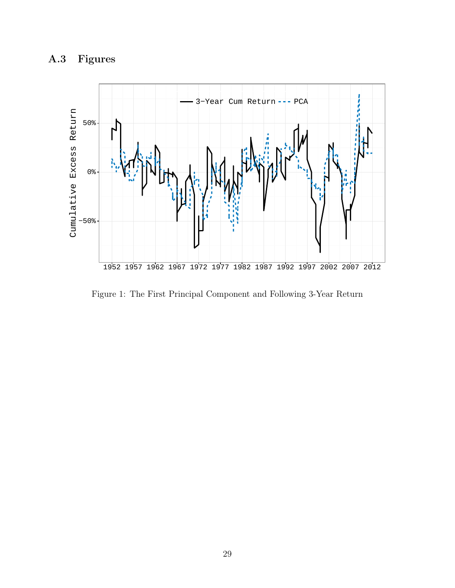

<span id="page-28-0"></span>

Figure 1: The First Principal Component and Following 3-Year Return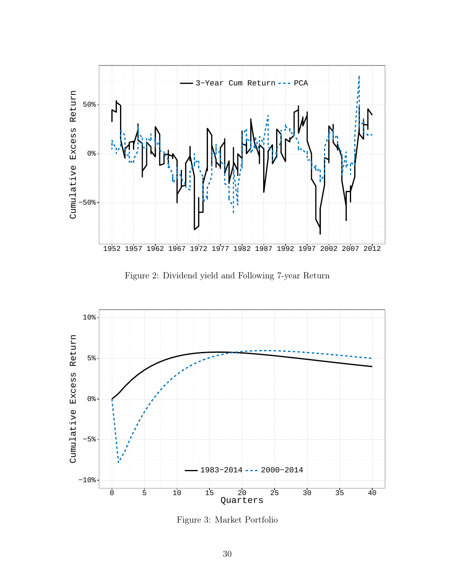<span id="page-29-0"></span>

Figure 2: Dividend yield and Following 7-year Return

<span id="page-29-1"></span>

Figure 3: Market Portfolio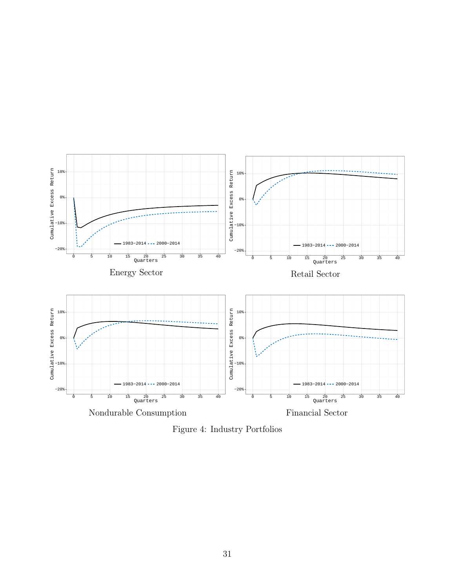<span id="page-30-0"></span>

Figure 4: Industry Portfolios